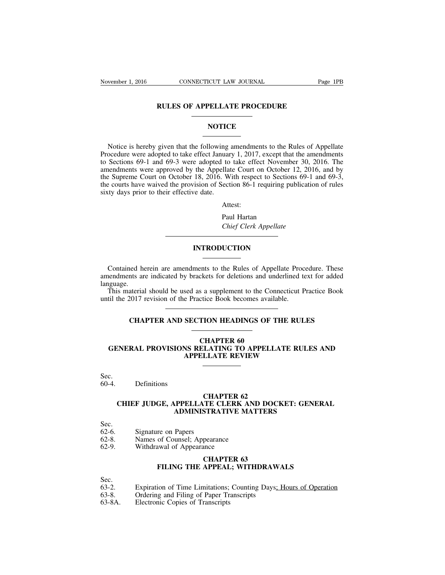#### **RULES OF APPELLATE PROCEDURE**

# **NOTICE**

Notice is hereby given that the following amendments to the Rules of Appellate Procedure were adopted to take effect January 1, 2017, except that the amendments to Sections 69-1 and 69-3 were adopted to take effect November 30, 2016. The amendments were approved by the Appellate Court on October 12, 2016, and by the Supreme Court on October 18, 2016. With respect to Sections 69-1 and 69-3, the courts have waived the provision of Section 86-1 requiring publication of rules sixty days prior to their effective date.

Attest:

Paul Hartan *Chief Clerk Appellate*

# **INTRODUCTION**

Contained herein are amendments to the Rules of Appellate Procedure. These amendments are indicated by brackets for deletions and underlined text for added language.

This material should be used as a supplement to the Connecticut Practice Book until the 2017 revision of the Practice Book becomes available.

# **CHAPTER AND SECTION HEADINGS OF THE RULES**

# **CHAPTER 60 GENERAL PROVISIONS RELATING TO APPELLATE RULES AND APPELLATE REVIEW**

Sec.<br>60-4.

Definitions

# **CHAPTER 62 CHIEF JUDGE, APPELLATE CLERK AND DOCKET: GENERAL ADMINISTRATIVE MATTERS**

- 
- Sec.<br>62-6. 62-6. Signature on Papers<br>62-8. Names of Counsel:
- 62-8. Names of Counsel; Appearance 62-9. Withdrawal of Appearance
- Withdrawal of Appearance

# **CHAPTER 63 FILING THE APPEAL; WITHDRAWALS**

Sec.  $63-2$ .

- 63-2. Expiration of Time Limitations; Counting Days<u>; Hours of Operation</u><br>63-8. Ordering and Filing of Paper Transcripts
- 63-8. Ordering and Filing of Paper Transcripts
- 63-8A. Electronic Copies of Transcripts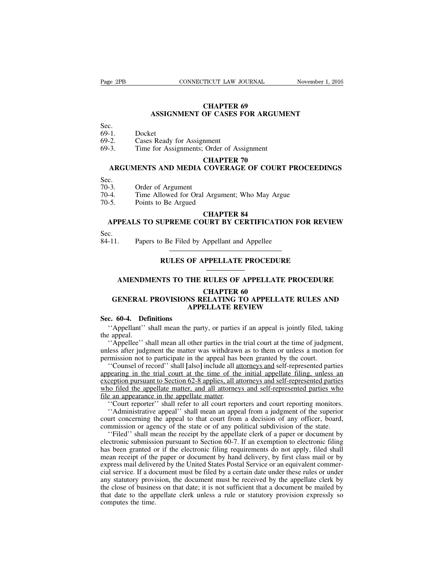# **CHAPTER 69 ASSIGNMENT OF CASES FOR ARGUMENT**

# Sec.  $69-1$ .

- 69-1. Docket<br>69-2. Cases F
- 69-2. Cases Ready for Assignment<br>69-3. Time for Assignments: Order
- Time for Assignments; Order of Assignment

#### **CHAPTER 70**

# **ARGUMENTS AND MEDIA COVERAGE OF COURT PROCEEDINGS**

- Sec.  $70-3$ .
- 70-3. Order of Argument
- 70-4. Time Allowed for Oral Argument; Who May Argue
- Points to Be Argued

#### **CHAPTER 84**

# **APPEALS TO SUPREME COURT BY CERTIFICATION FOR REVIEW**

Sec.<br>84-11 Papers to Be Filed by Appellant and Appellee

# **RULES OF APPELLATE PROCEDURE**

## **AMENDMENTS TO THE RULES OF APPELLATE PROCEDURE**

#### **CHAPTER 60**

# **GENERAL PROVISIONS RELATING TO APPELLATE RULES AND APPELLATE REVIEW**

# **Sec. 60-4. Definitions**

''Appellant'' shall mean the party, or parties if an appeal is jointly filed, taking the appeal.

''Appellee'' shall mean all other parties in the trial court at the time of judgment, unless after judgment the matter was withdrawn as to them or unless a motion for permission not to participate in the appeal has been granted by the court.

''Counsel of record'' shall **[**also**]** include all attorneys and self-represented parties appearing in the trial court at the time of the initial appellate filing, unless an exception pursuant to Section 62-8 applies, all attorneys and self-represented parties who filed the appellate matter, and all attorneys and self-represented parties who file an appearance in the appellate matter.

''Court reporter'' shall refer to all court reporters and court reporting monitors.

''Administrative appeal'' shall mean an appeal from a judgment of the superior court concerning the appeal to that court from a decision of any officer, board, commission or agency of the state or of any political subdivision of the state.

''Filed'' shall mean the receipt by the appellate clerk of a paper or document by electronic submission pursuant to Section 60-7. If an exemption to electronic filing has been granted or if the electronic filing requirements do not apply, filed shall mean receipt of the paper or document by hand delivery, by first class mail or by express mail delivered by the United States Postal Service or an equivalent commercial service. If a document must be filed by a certain date under these rules or under any statutory provision, the document must be received by the appellate clerk by the close of business on that date; it is not sufficient that a document be mailed by that date to the appellate clerk unless a rule or statutory provision expressly so computes the time.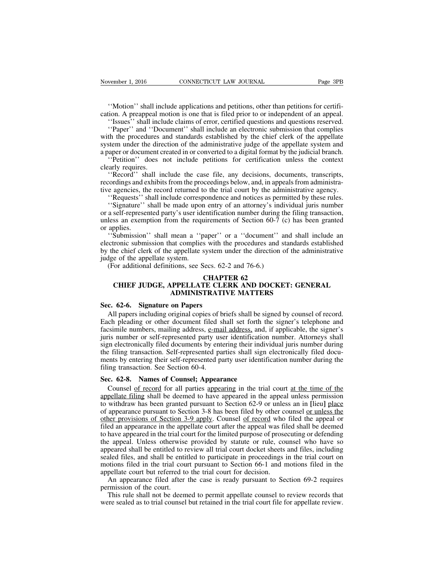''Motion'' shall include applications and petitions, other than petitions for certification. A preappeal motion is one that is filed prior to or independent of an appeal.

''Issues'' shall include claims of error, certified questions and questions reserved.

''Paper'' and ''Document'' shall include an electronic submission that complies with the procedures and standards established by the chief clerk of the appellate system under the direction of the administrative judge of the appellate system and a paper or document created in or converted to a digital format by the judicial branch.

''Petition'' does not include petitions for certification unless the context clearly requires.

''Record'' shall include the case file, any decisions, documents, transcripts, recordings and exhibits from the proceedings below, and, in appealsfrom administrative agencies, the record returned to the trial court by the administrative agency.

''Requests'' shall include correspondence and notices as permitted by these rules.

''Signature'' shall be made upon entry of an attorney's individual juris number or a self-represented party's user identification number during the filing transaction, unless an exemption from the requirements of Section 60-7 (c) has been granted or applies.

''Submission'' shall mean a ''paper'' or a ''document'' and shall include an electronic submission that complies with the procedures and standards established by the chief clerk of the appellate system under the direction of the administrative judge of the appellate system.

(For additional definitions, see Secs. 62-2 and 76-6.)

#### **CHAPTER 62 CHIEF JUDGE, APPELLATE CLERK AND DOCKET: GENERAL ADMINISTRATIVE MATTERS**

#### **Sec. 62-6. Signature on Papers**

All papers including original copies of briefs shall be signed by counsel of record. Each pleading or other document filed shall set forth the signer's telephone and facsimile numbers, mailing address, e-mail address, and, if applicable, the signer's juris number or self-represented party user identification number. Attorneys shall sign electronically filed documents by entering their individual juris number during the filing transaction. Self-represented parties shall sign electronically filed documents by entering their self-represented party user identification number during the filing transaction. See Section 60-4.

# **Sec. 62-8. Names of Counsel; Appearance**

Counsel of record for all parties appearing in the trial court at the time of the appellate filing shall be deemed to have appeared in the appeal unless permission to withdraw has been granted pursuant to Section 62-9 or unless an in **[**lieu**]** place of appearance pursuant to Section 3-8 has been filed by other counsel <u>or unless the</u> other provisions of Section 3-9 apply. Counsel of record who filed the appeal or filed an appearance in the appellate court after the appeal was filed shall be deemed to have appeared in the trial court for the limited purpose of prosecuting or defending the appeal. Unless otherwise provided by statute or rule, counsel who have so appeared shall be entitled to review all trial court docket sheets and files, including sealed files, and shall be entitled to participate in proceedings in the trial court on motions filed in the trial court pursuant to Section 66-1 and motions filed in the appellate court but referred to the trial court for decision.

An appearance filed after the case is ready pursuant to Section 69-2 requires permission of the court.

This rule shall not be deemed to permit appellate counsel to review records that were sealed as to trial counsel but retained in the trial court file for appellate review.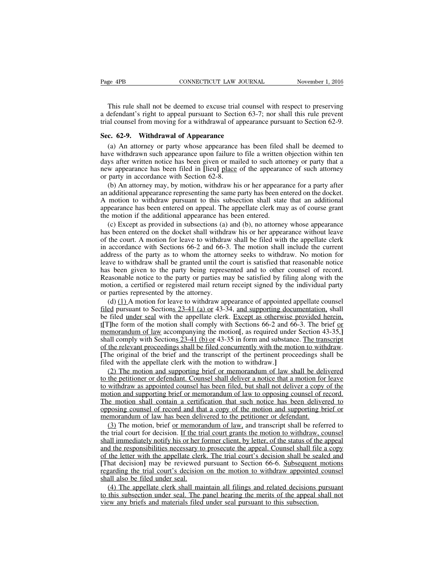This rule shall not be deemed to excuse trial counsel with respect to preserving a defendant's right to appeal pursuant to Section 63-7; nor shall this rule prevent trial counsel from moving for a withdrawal of appearance pursuant to Section 62-9.

#### **Sec. 62-9. Withdrawal of Appearance**

(a) An attorney or party whose appearance has been filed shall be deemed to have withdrawn such appearance upon failure to file a written objection within ten days after written notice has been given or mailed to such attorney or party that a new appearance has been filed in **[**lieu**]** place of the appearance of such attorney or party in accordance with Section 62-8.

(b) An attorney may, by motion, withdraw his or her appearance for a party after an additional appearance representing the same party has been entered on the docket. A motion to withdraw pursuant to this subsection shall state that an additional appearance has been entered on appeal. The appellate clerk may as of course grant the motion if the additional appearance has been entered.

(c) Except as provided in subsections (a) and (b), no attorney whose appearance has been entered on the docket shall withdraw his or her appearance without leave of the court. A motion for leave to withdraw shall be filed with the appellate clerk in accordance with Sections 66-2 and 66-3. The motion shall include the current address of the party as to whom the attorney seeks to withdraw. No motion for leave to withdraw shall be granted until the court is satisfied that reasonable notice has been given to the party being represented and to other counsel of record. Reasonable notice to the party or parties may be satisfied by filing along with the motion, a certified or registered mail return receipt signed by the individual party or parties represented by the attorney.

(d)  $(1)$  A motion for leave to withdraw appearance of appointed appellate counsel filed pursuant to Sections 23-41 (a) or 43-34, and supporting documentation, shall be filed under seal with the appellate clerk. Except as otherwise provided herein, t**[**T**]**he form of the motion shall comply with Sections 66-2 and 66-3. The brief or memorandum of law accompanying the motion**[**, as required under Section 43-35,**]** shall comply with Sections 23-41 (b) or 43-35 in form and substance. The transcript of the relevant proceedings shall be filed concurrently with the motion to withdraw. **[**The original of the brief and the transcript of the pertinent proceedings shall be filed with the appellate clerk with the motion to withdraw.**]**

(2) The motion and supporting brief or memorandum of law shall be delivered to the petitioner or defendant. Counsel shall deliver a notice that a motion for leave to withdraw as appointed counsel has been filed, but shall not deliver a copy of the motion and supporting brief or memorandum of law to opposing counsel of record. The motion shall contain a certification that such notice has been delivered to opposing counsel of record and that a copy of the motion and supporting brief or memorandum of law has been delivered to the petitioner or defendant.

(3) The motion, brief or memorandum of law, and transcript shall be referred to the trial court for decision. If the trial court grants the motion to withdraw, counsel shall immediately notify his or her former client, by letter, of the status of the appeal and the responsibilities necessary to prosecute the appeal. Counsel shall file a copy of the letter with the appellate clerk. The trial court's decision shall be sealed and **[**That decision**]** may be reviewed pursuant to Section 66-6. Subsequent motions regarding the trial court's decision on the motion to withdraw appointed counsel shall also be filed under seal.

(4) The appellate clerk shall maintain all filings and related decisions pursuant to this subsection under seal. The panel hearing the merits of the appeal shall not view any briefs and materials filed under seal pursuant to this subsection.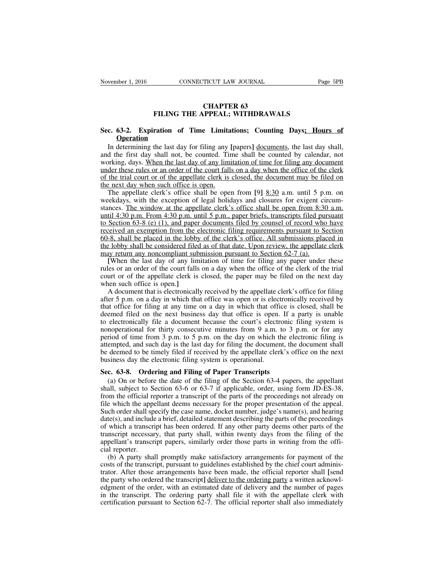# **CHAPTER 63 FILING THE APPEAL; WITHDRAWALS**

## **Sec. 63-2. Expiration of Time Limitations; Counting Days; Hours of Operation**

In determining the last day for filing any **[**papers**]** documents, the last day shall, and the first day shall not, be counted. Time shall be counted by calendar, not working, days. When the last day of any limitation of time for filing any document under these rules or an order of the court falls on a day when the office of the clerk of the trial court or of the appellate clerk is closed, the document may be filed on the next day when such office is open.

The appellate clerk's office shall be open from **[**9**]** 8:30 a.m. until 5 p.m. on weekdays, with the exception of legal holidays and closures for exigent circumstances. The window at the appellate clerk's office shall be open from 8:30 a.m. until 4:30 p.m. From 4:30 p.m. until 5 p.m., paper briefs, transcripts filed pursuant to Section 63-8 (e) (1), and paper documents filed by counsel of record who have received an exemption from the electronic filing requirements pursuant to Section 60-8, shall be placed in the lobby of the clerk's office. All submissions placed in the lobby shall be considered filed as of that date. Upon review, the appellate clerk may return any noncompliant submission pursuant to Section 62-7 (a).

**[**When the last day of any limitation of time for filing any paper under these rules or an order of the court falls on a day when the office of the clerk of the trial court or of the appellate clerk is closed, the paper may be filed on the next day when such office is open.**]**

A document that is electronically received by the appellate clerk's office for filing after 5 p.m. on a day in which that office was open or is electronically received by that office for filing at any time on a day in which that office is closed, shall be deemed filed on the next business day that office is open. If a party is unable to electronically file a document because the court's electronic filing system is nonoperational for thirty consecutive minutes from 9 a.m. to 3 p.m. or for any period of time from 3 p.m. to 5 p.m. on the day on which the electronic filing is attempted, and such day is the last day for filing the document, the document shall be deemed to be timely filed if received by the appellate clerk's office on the next business day the electronic filing system is operational.

# **Sec. 63-8. Ordering and Filing of Paper Transcripts**

(a) On or before the date of the filing of the Section 63-4 papers, the appellant shall, subject to Section 63-6 or 63-7 if applicable, order, using form JD-ES-38, from the official reporter a transcript of the parts of the proceedings not already on file which the appellant deems necessary for the proper presentation of the appeal. Such order shall specify the case name, docket number, judge's name(s), and hearing date(s), and include a brief, detailed statement describing the parts of the proceedings of which a transcript has been ordered. If any other party deems other parts of the transcript necessary, that party shall, within twenty days from the filing of the appellant's transcript papers, similarly order those parts in writing from the official reporter.

(b) A party shall promptly make satisfactory arrangements for payment of the costs of the transcript, pursuant to guidelines established by the chief court administrator. After those arrangements have been made, the official reporter shall **[**send the party who ordered the transcript**]** deliver to the ordering party a written acknowledgment of the order, with an estimated date of delivery and the number of pages in the transcript. The ordering party shall file it with the appellate clerk with certification pursuant to Section 62-7. The official reporter shall also immediately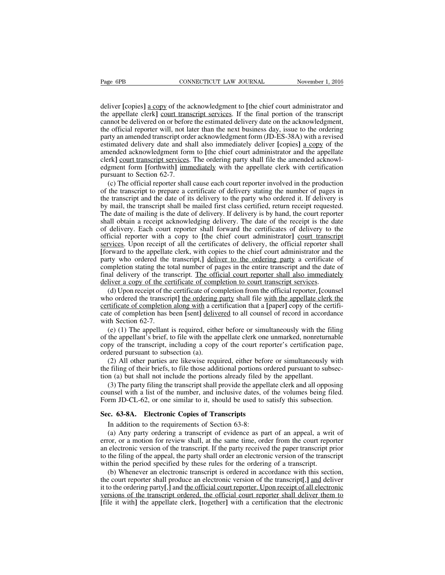deliver **[**copies**]** a copy of the acknowledgment to **[**the chief court administrator and the appellate clerk**]** court transcript services. If the final portion of the transcript cannot be delivered on or before the estimated delivery date on the acknowledgment, the official reporter will, not later than the next business day, issue to the ordering party an amended transcript order acknowledgment form (JD-ES-38A) with a revised estimated delivery date and shall also immediately deliver **[**copies**]** a copy of the amended acknowledgment form to **[**the chief court administrator and the appellate clerk**]** court transcript services. The ordering party shall file the amended acknowledgment form **[**forthwith**]** immediately with the appellate clerk with certification pursuant to Section 62-7.

(c) The official reporter shall cause each court reporter involved in the production of the transcript to prepare a certificate of delivery stating the number of pages in the transcript and the date of its delivery to the party who ordered it. If delivery is by mail, the transcript shall be mailed first class certified, return receipt requested. The date of mailing is the date of delivery. If delivery is by hand, the court reporter shall obtain a receipt acknowledging delivery. The date of the receipt is the date of delivery. Each court reporter shall forward the certificates of delivery to the official reporter with a copy to **[**the chief court administrator**]** court transcript services. Upon receipt of all the certificates of delivery, the official reporter shall **[**forward to the appellate clerk, with copies to the chief court administrator and the party who ordered the transcript,**]** deliver to the ordering party a certificate of completion stating the total number of pages in the entire transcript and the date of final delivery of the transcript. The official court reporter shall also immediately deliver a copy of the certificate of completion to court transcript services.

(d) Upon receipt of the certificate of completion from the official reporter, **[**counsel who ordered the transcript] the ordering party shall file with the appellate clerk the certificate of completion along with a certification that a **[**paper**]** copy of the certificate of completion has been **[**sent**]** delivered to all counsel of record in accordance with Section 62-7.

(e) (1) The appellant is required, either before or simultaneously with the filing of the appellant's brief, to file with the appellate clerk one unmarked, nonreturnable copy of the transcript, including a copy of the court reporter's certification page, ordered pursuant to subsection (a).

(2) All other parties are likewise required, either before or simultaneously with the filing of their briefs, to file those additional portions ordered pursuant to subsection (a) but shall not include the portions already filed by the appellant.

(3) The party filing the transcript shall provide the appellate clerk and all opposing counsel with a list of the number, and inclusive dates, of the volumes being filed. Form JD-CL-62, or one similar to it, should be used to satisfy this subsection.

#### **Sec. 63-8A. Electronic Copies of Transcripts**

In addition to the requirements of Section 63-8:

(a) Any party ordering a transcript of evidence as part of an appeal, a writ of error, or a motion for review shall, at the same time, order from the court reporter an electronic version of the transcript. If the party received the paper transcript prior to the filing of the appeal, the party shall order an electronic version of the transcript within the period specified by these rules for the ordering of a transcript.

(b) Whenever an electronic transcript is ordered in accordance with this section, the court reporter shall produce an electronic version of the transcript**[**,**]** and deliver it to the ordering party**[**,**]** and the official court reporter. Upon receipt of all electronic versions of the transcript ordered, the official court reporter shall deliver them to **[**file it with**]** the appellate clerk, **[**together**]** with a certification that the electronic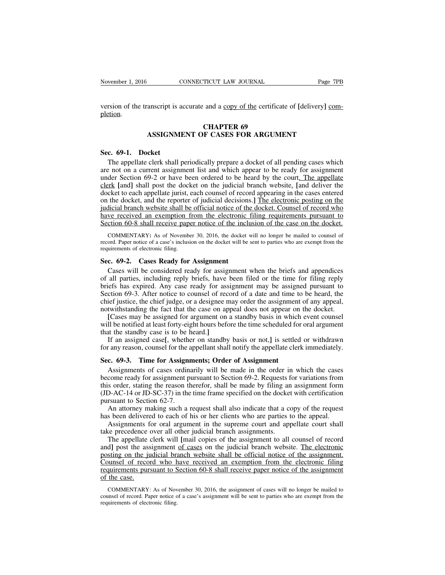version of the transcript is accurate and a copy of the certificate of **[**delivery**]** completion.

#### **CHAPTER 69 ASSIGNMENT OF CASES FOR ARGUMENT**

#### **Sec. 69-1. Docket**

The appellate clerk shall periodically prepare a docket of all pending cases which are not on a current assignment list and which appear to be ready for assignment under Section 69-2 or have been ordered to be heard by the court. The appellate clerk **[**and**]** shall post the docket on the judicial branch website. **[**and deliver the docket to each appellate jurist, each counsel of record appearing in the cases entered on the docket, and the reporter of judicial decisions.**]** The electronic posting on the judicial branch website shall be official notice of the docket. Counsel of record who have received an exemption from the electronic filing requirements pursuant to Section 60-8 shall receive paper notice of the inclusion of the case on the docket.

COMMENTARY**:** As of November 30, 2016, the docket will no longer be mailed to counsel of record. Paper notice of a case's inclusion on the docket will be sent to parties who are exempt from the requirements of electronic filing.

#### **Sec. 69-2. Cases Ready for Assignment**

Cases will be considered ready for assignment when the briefs and appendices of all parties, including reply briefs, have been filed or the time for filing reply briefs has expired. Any case ready for assignment may be assigned pursuant to Section 69-3. After notice to counsel of record of a date and time to be heard, the chief justice, the chief judge, or a designee may order the assignment of any appeal, notwithstanding the fact that the case on appeal does not appear on the docket.

**[**Cases may be assigned for argument on a standby basis in which event counsel will be notified at least forty-eight hours before the time scheduled for oral argument that the standby case is to be heard.**]**

If an assigned case**[**, whether on standby basis or not,**]** is settled or withdrawn for any reason, counsel for the appellant shall notify the appellate clerk immediately.

#### **Sec. 69-3. Time for Assignments; Order of Assignment**

Assignments of cases ordinarily will be made in the order in which the cases become ready for assignment pursuant to Section 69-2. Requests for variations from this order, stating the reason therefor, shall be made by filing an assignment form (JD-AC-14 or JD-SC-37) in the time frame specified on the docket with certification pursuant to Section 62-7.

An attorney making such a request shall also indicate that a copy of the request has been delivered to each of his or her clients who are parties to the appeal.

Assignments for oral argument in the supreme court and appellate court shall take precedence over all other judicial branch assignments.

The appellate clerk will **[**mail copies of the assignment to all counsel of record and] post the assignment of cases on the judicial branch website. The electronic posting on the judicial branch website shall be official notice of the assignment. Counsel of record who have received an exemption from the electronic filing requirements pursuant to Section 60-8 shall receive paper notice of the assignment of the case.

COMMENTARY: As of November 30, 2016, the assignment of cases will no longer be mailed to counsel of record. Paper notice of a case's assignment will be sent to parties who are exempt from the requirements of electronic filing.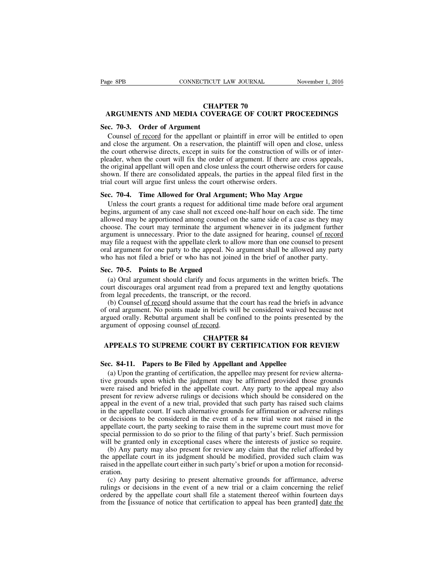# **CHAPTER 70 ARGUMENTS AND MEDIA COVERAGE OF COURT PROCEEDINGS**

#### **Sec. 70-3. Order of Argument**

Counsel of record for the appellant or plaintiff in error will be entitled to open and close the argument. On a reservation, the plaintiff will open and close, unless the court otherwise directs, except in suits for the construction of wills or of interpleader, when the court will fix the order of argument. If there are cross appeals, the original appellant will open and close unless the court otherwise orders for cause shown. If there are consolidated appeals, the parties in the appeal filed first in the trial court will argue first unless the court otherwise orders.

# **Sec. 70-4. Time Allowed for Oral Argument; Who May Argue**

Unless the court grants a request for additional time made before oral argument begins, argument of any case shall not exceed one-half hour on each side. The time allowed may be apportioned among counsel on the same side of a case as they may choose. The court may terminate the argument whenever in its judgment further argument is unnecessary. Prior to the date assigned for hearing, counsel of record may file a request with the appellate clerk to allow more than one counsel to present oral argument for one party to the appeal. No argument shall be allowed any party who has not filed a brief or who has not joined in the brief of another party.

## **Sec. 70-5. Points to Be Argued**

(a) Oral argument should clarify and focus arguments in the written briefs. The court discourages oral argument read from a prepared text and lengthy quotations from legal precedents, the transcript, or the record.

(b) Counsel of record should assume that the court has read the briefs in advance of oral argument. No points made in briefs will be considered waived because not argued orally. Rebuttal argument shall be confined to the points presented by the argument of opposing counsel of record.

#### **CHAPTER 84**

# **APPEALS TO SUPREME COURT BY CERTIFICATION FOR REVIEW**

#### **Sec. 84-11. Papers to Be Filed by Appellant and Appellee**

(a) Upon the granting of certification, the appellee may present for review alternative grounds upon which the judgment may be affirmed provided those grounds were raised and briefed in the appellate court. Any party to the appeal may also present for review adverse rulings or decisions which should be considered on the appeal in the event of a new trial, provided that such party has raised such claims in the appellate court. If such alternative grounds for affirmation or adverse rulings or decisions to be considered in the event of a new trial were not raised in the appellate court, the party seeking to raise them in the supreme court must move for special permission to do so prior to the filing of that party's brief. Such permission will be granted only in exceptional cases where the interests of justice so require.

(b) Any party may also present for review any claim that the relief afforded by the appellate court in its judgment should be modified, provided such claim was raised in the appellate court either in such party's brief or upon a motion for reconsideration.

(c) Any party desiring to present alternative grounds for affirmance, adverse rulings or decisions in the event of a new trial or a claim concerning the relief ordered by the appellate court shall file a statement thereof within fourteen days from the **[**issuance of notice that certification to appeal has been granted**]** date the